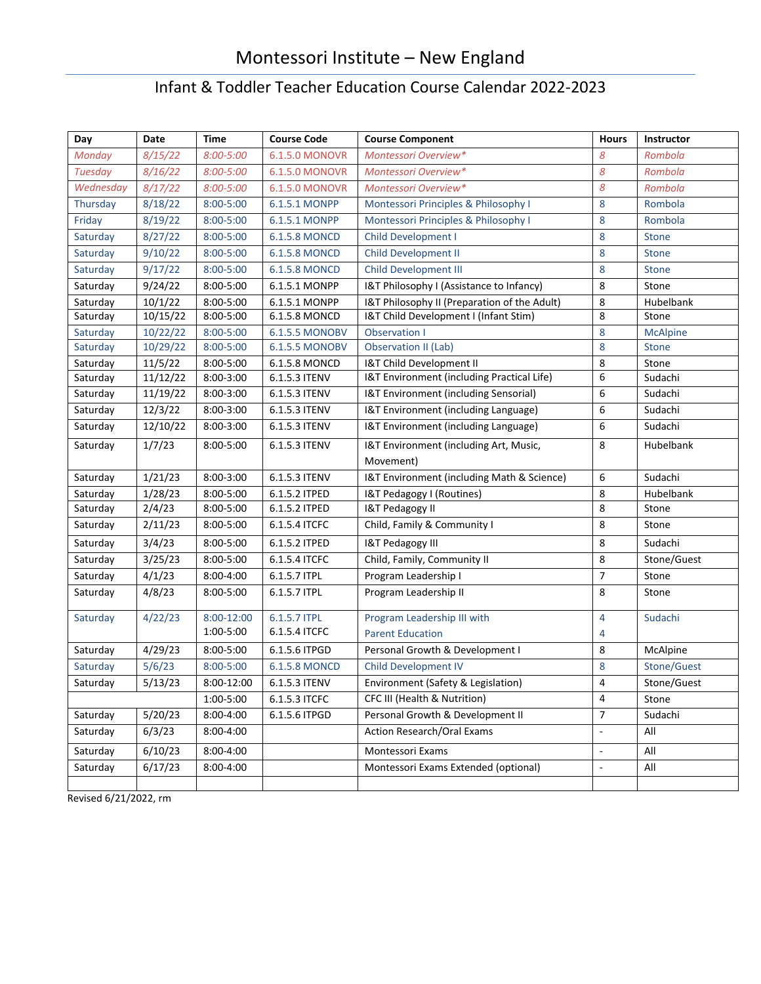## Montessori Institute – New England

## Infant & Toddler Teacher Education Course Calendar 2022-2023

| Day            | Date     | <b>Time</b>    | <b>Course Code</b>    | <b>Course Component</b>                      | <b>Hours</b>             | <b>Instructor</b> |
|----------------|----------|----------------|-----------------------|----------------------------------------------|--------------------------|-------------------|
| Monday         | 8/15/22  | $8:00 - 5:00$  | <b>6.1.5.0 MONOVR</b> | Montessori Overview*                         | 8                        | Rombola           |
| <b>Tuesday</b> | 8/16/22  | $8:00 - 5:00$  | 6.1.5.0 MONOVR        | 8<br>Montessori Overview*                    |                          | Rombola           |
| Wednesday      | 8/17/22  | $8:00 - 5:00$  | <b>6.1.5.0 MONOVR</b> | 8<br>Montessori Overview*                    |                          | Rombola           |
| Thursday       | 8/18/22  | $8:00 - 5:00$  | 6.1.5.1 MONPP         | 8<br>Montessori Principles & Philosophy I    |                          | Rombola           |
| Friday         | 8/19/22  | $8:00 - 5:00$  | 6.1.5.1 MONPP         | Montessori Principles & Philosophy I<br>8    |                          | Rombola           |
| Saturday       | 8/27/22  | 8:00-5:00      | 6.1.5.8 MONCD         | Child Development I<br>8                     |                          | <b>Stone</b>      |
| Saturday       | 9/10/22  | 8:00-5:00      | 6.1.5.8 MONCD         | Child Development II<br>8                    |                          | <b>Stone</b>      |
| Saturday       | 9/17/22  | $8:00 - 5:00$  | 6.1.5.8 MONCD         | <b>Child Development III</b>                 | 8                        | <b>Stone</b>      |
| Saturday       | 9/24/22  | $8:00 - 5:00$  | 6.1.5.1 MONPP         | I&T Philosophy I (Assistance to Infancy)     | 8                        | Stone             |
| Saturday       | 10/1/22  | 8:00-5:00      | 6.1.5.1 MONPP         | I&T Philosophy II (Preparation of the Adult) | 8                        | Hubelbank         |
| Saturday       | 10/15/22 | 8:00-5:00      | 6.1.5.8 MONCD         | I&T Child Development I (Infant Stim)        | 8                        | Stone             |
| Saturday       | 10/22/22 | 8:00-5:00      | 6.1.5.5 MONOBV        | <b>Observation I</b>                         | 8                        | <b>McAlpine</b>   |
| Saturday       | 10/29/22 | $8:00 - 5:00$  | <b>6.1.5.5 MONOBV</b> | 8<br>Observation II (Lab)                    |                          | <b>Stone</b>      |
| Saturday       | 11/5/22  | 8:00-5:00      | 6.1.5.8 MONCD         | I&T Child Development II                     | 8                        | Stone             |
| Saturday       | 11/12/22 | 8:00-3:00      | 6.1.5.3 ITENV         | I&T Environment (including Practical Life)   | 6                        | Sudachi           |
| Saturday       | 11/19/22 | 8:00-3:00      | 6.1.5.3 ITENV         | I&T Environment (including Sensorial)        | 6                        | Sudachi           |
| Saturday       | 12/3/22  | $8:00 - 3:00$  | 6.1.5.3 ITENV         | I&T Environment (including Language)         | 6                        | Sudachi           |
| Saturday       | 12/10/22 | 8:00-3:00      | 6.1.5.3 ITENV         | I&T Environment (including Language)         | 6                        | Sudachi           |
| Saturday       | 1/7/23   | $8:00 - 5:00$  | 6.1.5.3 ITENV         | I&T Environment (including Art, Music,       | 8                        | Hubelbank         |
|                |          |                |                       | Movement)                                    |                          |                   |
| Saturday       | 1/21/23  | $8:00 - 3:00$  | 6.1.5.3 ITENV         | I&T Environment (including Math & Science)   | 6                        | Sudachi           |
| Saturday       | 1/28/23  | 8:00-5:00      | 6.1.5.2 ITPED         | I&T Pedagogy I (Routines)                    | 8                        | Hubelbank         |
| Saturday       | 2/4/23   | 8:00-5:00      | 6.1.5.2 ITPED         | 8<br>I&T Pedagogy II                         |                          | Stone             |
| Saturday       | 2/11/23  | 8:00-5:00      | 6.1.5.4 ITCFC         | 8<br>Child, Family & Community I             |                          | Stone             |
| Saturday       | 3/4/23   | $8:00 - 5:00$  | 6.1.5.2 ITPED         | I&T Pedagogy III                             | 8                        | Sudachi           |
| Saturday       | 3/25/23  | $8:00 - 5:00$  | 6.1.5.4 ITCFC         | Child, Family, Community II                  | 8                        | Stone/Guest       |
| Saturday       | 4/1/23   | $8:00 - 4:00$  | 6.1.5.7 ITPL          | Program Leadership I                         | $\overline{7}$           | Stone             |
| Saturday       | 4/8/23   | 8:00-5:00      | 6.1.5.7 ITPL          | Program Leadership II                        | 8                        | Stone             |
| Saturday       | 4/22/23  | $8:00 - 12:00$ | 6.1.5.7 ITPL          | Program Leadership III with                  | 4                        | Sudachi           |
|                |          | 1:00-5:00      | 6.1.5.4 ITCFC         | <b>Parent Education</b>                      | 4                        |                   |
| Saturday       | 4/29/23  | 8:00-5:00      | 6.1.5.6 ITPGD         | Personal Growth & Development I              | 8                        | McAlpine          |
| Saturday       | 5/6/23   | 8:00-5:00      | 6.1.5.8 MONCD         | <b>Child Development IV</b>                  | 8                        | Stone/Guest       |
| Saturday       | 5/13/23  | 8:00-12:00     | 6.1.5.3 ITENV         | Environment (Safety & Legislation)           | 4                        | Stone/Guest       |
|                |          | 1:00-5:00      | 6.1.5.3 ITCFC         | CFC III (Health & Nutrition)                 | 4                        | Stone             |
| Saturday       | 5/20/23  | 8:00-4:00      | 6.1.5.6 ITPGD         | Personal Growth & Development II             | $\overline{7}$           | Sudachi           |
| Saturday       | 6/3/23   | 8:00-4:00      |                       | Action Research/Oral Exams                   | ÷,                       | All               |
| Saturday       | 6/10/23  | 8:00-4:00      |                       | Montessori Exams                             | $\overline{\phantom{a}}$ | All               |
| Saturday       | 6/17/23  | 8:00-4:00      |                       | Montessori Exams Extended (optional)         | $\overline{\phantom{a}}$ | All               |
|                |          |                |                       |                                              |                          |                   |

Revised 6/21/2022, rm